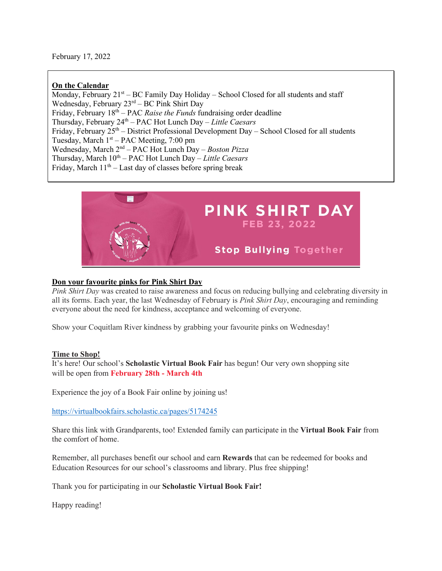## **On the Calendar**

Monday, February  $21<sup>st</sup> – BC Family Day Holiday – School Closed for all students and staff$ Wednesday, February 23rd – BC Pink Shirt Day Friday, February 18<sup>th</sup> – PAC *Raise the Funds* fundraising order deadline Thursday, February 24th – PAC Hot Lunch Day – *Little Caesars*  Friday, February  $25<sup>th</sup>$  – District Professional Development Day – School Closed for all students Tuesday, March  $1<sup>st</sup> - PAC Meeting, 7:00 pm$ Wednesday, March 2nd – PAC Hot Lunch Day – *Boston Pizza* Thursday, March 10th – PAC Hot Lunch Day – *Little Caesars* Friday, March  $11<sup>th</sup> -$  Last day of classes before spring break



### **Don your favourite pinks for Pink Shirt Day**

*Pink Shirt Day* was created to raise awareness and focus on reducing bullying and celebrating diversity in all its forms. Each year, the last Wednesday of February is *Pink Shirt Day*, encouraging and reminding everyone about the need for kindness, acceptance and welcoming of everyone.

Show your Coquitlam River kindness by grabbing your favourite pinks on Wednesday!

#### **Time to Shop!**

It's here! Our school's **Scholastic Virtual Book Fair** has begun! Our very own shopping site will be open from **February 28th - March 4th**

Experience the joy of a Book Fair online by joining us!

<https://virtualbookfairs.scholastic.ca/pages/5174245>

Share this link with Grandparents, too! Extended family can participate in the **Virtual Book Fair** from the comfort of home.

Remember, all purchases benefit our school and earn **Rewards** that can be redeemed for books and Education Resources for our school's classrooms and library. Plus free shipping!

Thank you for participating in our **Scholastic Virtual Book Fair!**

Happy reading!